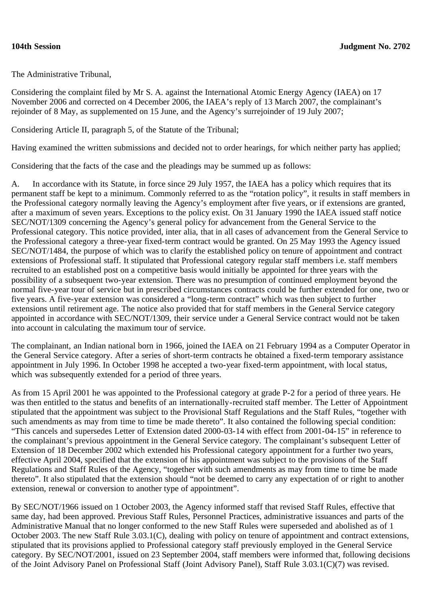The Administrative Tribunal,

Considering the complaint filed by Mr S. A. against the International Atomic Energy Agency (IAEA) on 17 November 2006 and corrected on 4 December 2006, the IAEA's reply of 13 March 2007, the complainant's rejoinder of 8 May, as supplemented on 15 June, and the Agency's surrejoinder of 19 July 2007;

Considering Article II, paragraph 5, of the Statute of the Tribunal;

Having examined the written submissions and decided not to order hearings, for which neither party has applied;

Considering that the facts of the case and the pleadings may be summed up as follows:

A. In accordance with its Statute, in force since 29 July 1957, the IAEA has a policy which requires that its permanent staff be kept to a minimum. Commonly referred to as the "rotation policy", it results in staff members in the Professional category normally leaving the Agency's employment after five years, or if extensions are granted, after a maximum of seven years. Exceptions to the policy exist. On 31 January 1990 the IAEA issued staff notice SEC/NOT/1309 concerning the Agency's general policy for advancement from the General Service to the Professional category. This notice provided, inter alia, that in all cases of advancement from the General Service to the Professional category a three-year fixed-term contract would be granted. On 25 May 1993 the Agency issued SEC/NOT/1484, the purpose of which was to clarify the established policy on tenure of appointment and contract extensions of Professional staff. It stipulated that Professional category regular staff members i.e. staff members recruited to an established post on a competitive basis would initially be appointed for three years with the possibility of a subsequent two-year extension. There was no presumption of continued employment beyond the normal five-year tour of service but in prescribed circumstances contracts could be further extended for one, two or five years. A five-year extension was considered a "long-term contract" which was then subject to further extensions until retirement age. The notice also provided that for staff members in the General Service category appointed in accordance with SEC/NOT/1309, their service under a General Service contract would not be taken into account in calculating the maximum tour of service.

The complainant, an Indian national born in 1966, joined the IAEA on 21 February 1994 as a Computer Operator in the General Service category. After a series of short-term contracts he obtained a fixed-term temporary assistance appointment in July 1996. In October 1998 he accepted a two-year fixed-term appointment, with local status, which was subsequently extended for a period of three years.

As from 15 April 2001 he was appointed to the Professional category at grade P-2 for a period of three years. He was then entitled to the status and benefits of an internationally-recruited staff member. The Letter of Appointment stipulated that the appointment was subject to the Provisional Staff Regulations and the Staff Rules, "together with such amendments as may from time to time be made thereto". It also contained the following special condition: "This cancels and supersedes Letter of Extension dated 2000-03-14 with effect from 2001-04-15" in reference to the complainant's previous appointment in the General Service category. The complainant's subsequent Letter of Extension of 18 December 2002 which extended his Professional category appointment for a further two years, effective April 2004, specified that the extension of his appointment was subject to the provisions of the Staff Regulations and Staff Rules of the Agency, "together with such amendments as may from time to time be made thereto". It also stipulated that the extension should "not be deemed to carry any expectation of or right to another extension, renewal or conversion to another type of appointment".

By SEC/NOT/1966 issued on 1 October 2003, the Agency informed staff that revised Staff Rules, effective that same day, had been approved. Previous Staff Rules, Personnel Practices, administrative issuances and parts of the Administrative Manual that no longer conformed to the new Staff Rules were superseded and abolished as of 1 October 2003. The new Staff Rule 3.03.1(C), dealing with policy on tenure of appointment and contract extensions, stipulated that its provisions applied to Professional category staff previously employed in the General Service category. By SEC/NOT/2001, issued on 23 September 2004, staff members were informed that, following decisions of the Joint Advisory Panel on Professional Staff (Joint Advisory Panel), Staff Rule 3.03.1(C)(7) was revised.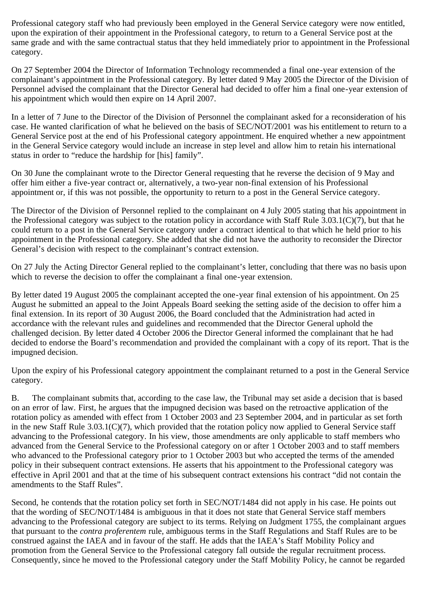Professional category staff who had previously been employed in the General Service category were now entitled, upon the expiration of their appointment in the Professional category, to return to a General Service post at the same grade and with the same contractual status that they held immediately prior to appointment in the Professional category.

On 27 September 2004 the Director of Information Technology recommended a final one-year extension of the complainant's appointment in the Professional category. By letter dated 9 May 2005 the Director of the Division of Personnel advised the complainant that the Director General had decided to offer him a final one-year extension of his appointment which would then expire on 14 April 2007.

In a letter of 7 June to the Director of the Division of Personnel the complainant asked for a reconsideration of his case. He wanted clarification of what he believed on the basis of SEC/NOT/2001 was his entitlement to return to a General Service post at the end of his Professional category appointment. He enquired whether a new appointment in the General Service category would include an increase in step level and allow him to retain his international status in order to "reduce the hardship for [his] family".

On 30 June the complainant wrote to the Director General requesting that he reverse the decision of 9 May and offer him either a five-year contract or, alternatively, a two-year non-final extension of his Professional appointment or, if this was not possible, the opportunity to return to a post in the General Service category.

The Director of the Division of Personnel replied to the complainant on 4 July 2005 stating that his appointment in the Professional category was subject to the rotation policy in accordance with Staff Rule 3.03.1(C)(7), but that he could return to a post in the General Service category under a contract identical to that which he held prior to his appointment in the Professional category. She added that she did not have the authority to reconsider the Director General's decision with respect to the complainant's contract extension.

On 27 July the Acting Director General replied to the complainant's letter, concluding that there was no basis upon which to reverse the decision to offer the complainant a final one-year extension.

By letter dated 19 August 2005 the complainant accepted the one-year final extension of his appointment. On 25 August he submitted an appeal to the Joint Appeals Board seeking the setting aside of the decision to offer him a final extension. In its report of 30 August 2006, the Board concluded that the Administration had acted in accordance with the relevant rules and guidelines and recommended that the Director General uphold the challenged decision. By letter dated 4 October 2006 the Director General informed the complainant that he had decided to endorse the Board's recommendation and provided the complainant with a copy of its report. That is the impugned decision.

Upon the expiry of his Professional category appointment the complainant returned to a post in the General Service category.

B. The complainant submits that, according to the case law, the Tribunal may set aside a decision that is based on an error of law. First, he argues that the impugned decision was based on the retroactive application of the rotation policy as amended with effect from 1 October 2003 and 23 September 2004, and in particular as set forth in the new Staff Rule 3.03.1(C)(7), which provided that the rotation policy now applied to General Service staff advancing to the Professional category. In his view, those amendments are only applicable to staff members who advanced from the General Service to the Professional category on or after 1 October 2003 and to staff members who advanced to the Professional category prior to 1 October 2003 but who accepted the terms of the amended policy in their subsequent contract extensions. He asserts that his appointment to the Professional category was effective in April 2001 and that at the time of his subsequent contract extensions his contract "did not contain the amendments to the Staff Rules".

Second, he contends that the rotation policy set forth in SEC/NOT/1484 did not apply in his case. He points out that the wording of SEC/NOT/1484 is ambiguous in that it does not state that General Service staff members advancing to the Professional category are subject to its terms. Relying on Judgment 1755, the complainant argues that pursuant to the *contra proferentem* rule, ambiguous terms in the Staff Regulations and Staff Rules are to be construed against the IAEA and in favour of the staff. He adds that the IAEA's Staff Mobility Policy and promotion from the General Service to the Professional category fall outside the regular recruitment process. Consequently, since he moved to the Professional category under the Staff Mobility Policy, he cannot be regarded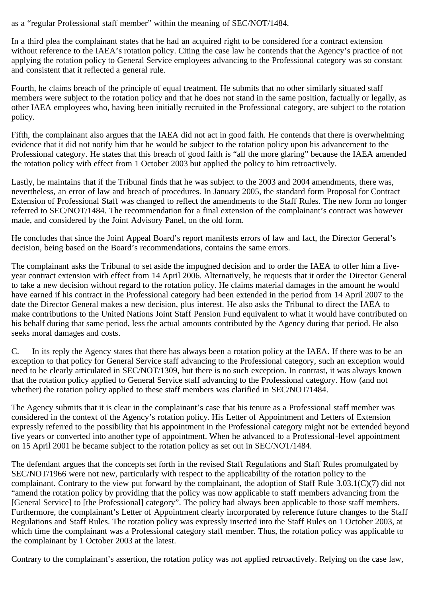as a "regular Professional staff member" within the meaning of SEC/NOT/1484.

In a third plea the complainant states that he had an acquired right to be considered for a contract extension without reference to the IAEA's rotation policy. Citing the case law he contends that the Agency's practice of not applying the rotation policy to General Service employees advancing to the Professional category was so constant and consistent that it reflected a general rule.

Fourth, he claims breach of the principle of equal treatment. He submits that no other similarly situated staff members were subject to the rotation policy and that he does not stand in the same position, factually or legally, as other IAEA employees who, having been initially recruited in the Professional category, are subject to the rotation policy.

Fifth, the complainant also argues that the IAEA did not act in good faith. He contends that there is overwhelming evidence that it did not notify him that he would be subject to the rotation policy upon his advancement to the Professional category. He states that this breach of good faith is "all the more glaring" because the IAEA amended the rotation policy with effect from 1 October 2003 but applied the policy to him retroactively.

Lastly, he maintains that if the Tribunal finds that he was subject to the 2003 and 2004 amendments, there was, nevertheless, an error of law and breach of procedures. In January 2005, the standard form Proposal for Contract Extension of Professional Staff was changed to reflect the amendments to the Staff Rules. The new form no longer referred to SEC/NOT/1484. The recommendation for a final extension of the complainant's contract was however made, and considered by the Joint Advisory Panel, on the old form.

He concludes that since the Joint Appeal Board's report manifests errors of law and fact, the Director General's decision, being based on the Board's recommendations, contains the same errors.

The complainant asks the Tribunal to set aside the impugned decision and to order the IAEA to offer him a fiveyear contract extension with effect from 14 April 2006. Alternatively, he requests that it order the Director General to take a new decision without regard to the rotation policy. He claims material damages in the amount he would have earned if his contract in the Professional category had been extended in the period from 14 April 2007 to the date the Director General makes a new decision, plus interest. He also asks the Tribunal to direct the IAEA to make contributions to the United Nations Joint Staff Pension Fund equivalent to what it would have contributed on his behalf during that same period, less the actual amounts contributed by the Agency during that period. He also seeks moral damages and costs.

C. In its reply the Agency states that there has always been a rotation policy at the IAEA. If there was to be an exception to that policy for General Service staff advancing to the Professional category, such an exception would need to be clearly articulated in SEC/NOT/1309, but there is no such exception. In contrast, it was always known that the rotation policy applied to General Service staff advancing to the Professional category. How (and not whether) the rotation policy applied to these staff members was clarified in SEC/NOT/1484.

The Agency submits that it is clear in the complainant's case that his tenure as a Professional staff member was considered in the context of the Agency's rotation policy. His Letter of Appointment and Letters of Extension expressly referred to the possibility that his appointment in the Professional category might not be extended beyond five years or converted into another type of appointment. When he advanced to a Professional-level appointment on 15 April 2001 he became subject to the rotation policy as set out in SEC/NOT/1484.

The defendant argues that the concepts set forth in the revised Staff Regulations and Staff Rules promulgated by SEC/NOT/1966 were not new, particularly with respect to the applicability of the rotation policy to the complainant. Contrary to the view put forward by the complainant, the adoption of Staff Rule 3.03.1(C)(7) did not "amend the rotation policy by providing that the policy was now applicable to staff members advancing from the [General Service] to [the Professional] category". The policy had always been applicable to those staff members. Furthermore, the complainant's Letter of Appointment clearly incorporated by reference future changes to the Staff Regulations and Staff Rules. The rotation policy was expressly inserted into the Staff Rules on 1 October 2003, at which time the complainant was a Professional category staff member. Thus, the rotation policy was applicable to the complainant by 1 October 2003 at the latest.

Contrary to the complainant's assertion, the rotation policy was not applied retroactively. Relying on the case law,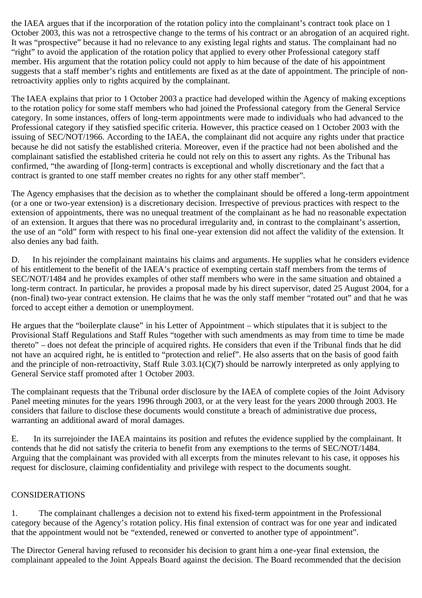the IAEA argues that if the incorporation of the rotation policy into the complainant's contract took place on 1 October 2003, this was not a retrospective change to the terms of his contract or an abrogation of an acquired right. It was "prospective" because it had no relevance to any existing legal rights and status. The complainant had no "right" to avoid the application of the rotation policy that applied to every other Professional category staff member. His argument that the rotation policy could not apply to him because of the date of his appointment suggests that a staff member's rights and entitlements are fixed as at the date of appointment. The principle of nonretroactivity applies only to rights acquired by the complainant.

The IAEA explains that prior to 1 October 2003 a practice had developed within the Agency of making exceptions to the rotation policy for some staff members who had joined the Professional category from the General Service category. In some instances, offers of long-term appointments were made to individuals who had advanced to the Professional category if they satisfied specific criteria. However, this practice ceased on 1 October 2003 with the issuing of SEC/NOT/1966. According to the IAEA, the complainant did not acquire any rights under that practice because he did not satisfy the established criteria. Moreover, even if the practice had not been abolished and the complainant satisfied the established criteria he could not rely on this to assert any rights. As the Tribunal has confirmed, "the awarding of [long-term] contracts is exceptional and wholly discretionary and the fact that a contract is granted to one staff member creates no rights for any other staff member".

The Agency emphasises that the decision as to whether the complainant should be offered a long-term appointment (or a one or two-year extension) is a discretionary decision. Irrespective of previous practices with respect to the extension of appointments, there was no unequal treatment of the complainant as he had no reasonable expectation of an extension. It argues that there was no procedural irregularity and, in contrast to the complainant's assertion, the use of an "old" form with respect to his final one-year extension did not affect the validity of the extension. It also denies any bad faith.

D. In his rejoinder the complainant maintains his claims and arguments. He supplies what he considers evidence of his entitlement to the benefit of the IAEA's practice of exempting certain staff members from the terms of SEC/NOT/1484 and he provides examples of other staff members who were in the same situation and obtained a long-term contract. In particular, he provides a proposal made by his direct supervisor, dated 25 August 2004, for a (non-final) two-year contract extension. He claims that he was the only staff member "rotated out" and that he was forced to accept either a demotion or unemployment.

He argues that the "boilerplate clause" in his Letter of Appointment – which stipulates that it is subject to the Provisional Staff Regulations and Staff Rules "together with such amendments as may from time to time be made thereto" – does not defeat the principle of acquired rights. He considers that even if the Tribunal finds that he did not have an acquired right, he is entitled to "protection and relief". He also asserts that on the basis of good faith and the principle of non-retroactivity, Staff Rule 3.03.1(C)(7) should be narrowly interpreted as only applying to General Service staff promoted after 1 October 2003.

The complainant requests that the Tribunal order disclosure by the IAEA of complete copies of the Joint Advisory Panel meeting minutes for the years 1996 through 2003, or at the very least for the years 2000 through 2003. He considers that failure to disclose these documents would constitute a breach of administrative due process, warranting an additional award of moral damages.

E. In its surrejoinder the IAEA maintains its position and refutes the evidence supplied by the complainant. It contends that he did not satisfy the criteria to benefit from any exemptions to the terms of SEC/NOT/1484. Arguing that the complainant was provided with all excerpts from the minutes relevant to his case, it opposes his request for disclosure, claiming confidentiality and privilege with respect to the documents sought.

### CONSIDERATIONS

1. The complainant challenges a decision not to extend his fixed-term appointment in the Professional category because of the Agency's rotation policy. His final extension of contract was for one year and indicated that the appointment would not be "extended, renewed or converted to another type of appointment".

The Director General having refused to reconsider his decision to grant him a one-year final extension, the complainant appealed to the Joint Appeals Board against the decision. The Board recommended that the decision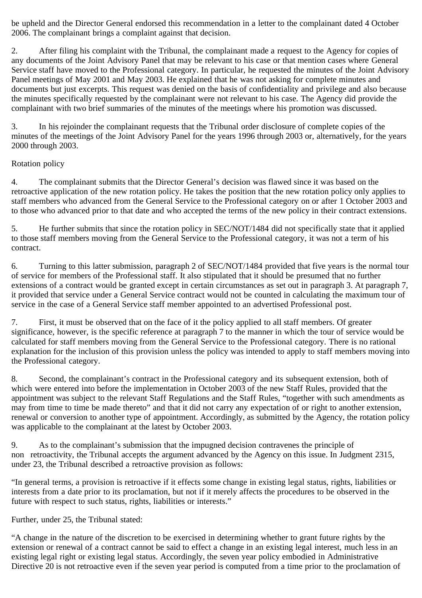be upheld and the Director General endorsed this recommendation in a letter to the complainant dated 4 October 2006. The complainant brings a complaint against that decision.

2. After filing his complaint with the Tribunal, the complainant made a request to the Agency for copies of any documents of the Joint Advisory Panel that may be relevant to his case or that mention cases where General Service staff have moved to the Professional category. In particular, he requested the minutes of the Joint Advisory Panel meetings of May 2001 and May 2003. He explained that he was not asking for complete minutes and documents but just excerpts. This request was denied on the basis of confidentiality and privilege and also because the minutes specifically requested by the complainant were not relevant to his case. The Agency did provide the complainant with two brief summaries of the minutes of the meetings where his promotion was discussed.

3. In his rejoinder the complainant requests that the Tribunal order disclosure of complete copies of the minutes of the meetings of the Joint Advisory Panel for the years 1996 through 2003 or, alternatively, for the years 2000 through 2003.

### Rotation policy

4. The complainant submits that the Director General's decision was flawed since it was based on the retroactive application of the new rotation policy. He takes the position that the new rotation policy only applies to staff members who advanced from the General Service to the Professional category on or after 1 October 2003 and to those who advanced prior to that date and who accepted the terms of the new policy in their contract extensions.

5. He further submits that since the rotation policy in SEC/NOT/1484 did not specifically state that it applied to those staff members moving from the General Service to the Professional category, it was not a term of his contract.

6. Turning to this latter submission, paragraph 2 of SEC/NOT/1484 provided that five years is the normal tour of service for members of the Professional staff. It also stipulated that it should be presumed that no further extensions of a contract would be granted except in certain circumstances as set out in paragraph 3. At paragraph 7, it provided that service under a General Service contract would not be counted in calculating the maximum tour of service in the case of a General Service staff member appointed to an advertised Professional post.

7. First, it must be observed that on the face of it the policy applied to all staff members. Of greater significance, however, is the specific reference at paragraph 7 to the manner in which the tour of service would be calculated for staff members moving from the General Service to the Professional category. There is no rational explanation for the inclusion of this provision unless the policy was intended to apply to staff members moving into the Professional category.

8. Second, the complainant's contract in the Professional category and its subsequent extension, both of which were entered into before the implementation in October 2003 of the new Staff Rules, provided that the appointment was subject to the relevant Staff Regulations and the Staff Rules, "together with such amendments as may from time to time be made thereto" and that it did not carry any expectation of or right to another extension, renewal or conversion to another type of appointment. Accordingly, as submitted by the Agency, the rotation policy was applicable to the complainant at the latest by October 2003.

9. As to the complainant's submission that the impugned decision contravenes the principle of non retroactivity, the Tribunal accepts the argument advanced by the Agency on this issue. In Judgment 2315, under 23, the Tribunal described a retroactive provision as follows:

"In general terms, a provision is retroactive if it effects some change in existing legal status, rights, liabilities or interests from a date prior to its proclamation, but not if it merely affects the procedures to be observed in the future with respect to such status, rights, liabilities or interests."

Further, under 25, the Tribunal stated:

"A change in the nature of the discretion to be exercised in determining whether to grant future rights by the extension or renewal of a contract cannot be said to effect a change in an existing legal interest, much less in an existing legal right or existing legal status. Accordingly, the seven year policy embodied in Administrative Directive 20 is not retroactive even if the seven year period is computed from a time prior to the proclamation of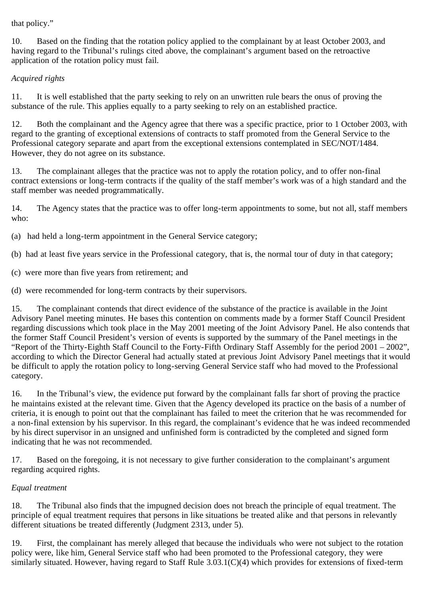that policy."

10. Based on the finding that the rotation policy applied to the complainant by at least October 2003, and having regard to the Tribunal's rulings cited above, the complainant's argument based on the retroactive application of the rotation policy must fail.

# *Acquired rights*

11. It is well established that the party seeking to rely on an unwritten rule bears the onus of proving the substance of the rule. This applies equally to a party seeking to rely on an established practice.

12. Both the complainant and the Agency agree that there was a specific practice, prior to 1 October 2003, with regard to the granting of exceptional extensions of contracts to staff promoted from the General Service to the Professional category separate and apart from the exceptional extensions contemplated in SEC/NOT/1484. However, they do not agree on its substance.

13. The complainant alleges that the practice was not to apply the rotation policy, and to offer non-final contract extensions or long-term contracts if the quality of the staff member's work was of a high standard and the staff member was needed programmatically.

14. The Agency states that the practice was to offer long-term appointments to some, but not all, staff members who:

(a) had held a long-term appointment in the General Service category;

(b) had at least five years service in the Professional category, that is, the normal tour of duty in that category;

- (c) were more than five years from retirement; and
- (d) were recommended for long-term contracts by their supervisors.

15. The complainant contends that direct evidence of the substance of the practice is available in the Joint Advisory Panel meeting minutes. He bases this contention on comments made by a former Staff Council President regarding discussions which took place in the May 2001 meeting of the Joint Advisory Panel. He also contends that the former Staff Council President's version of events is supported by the summary of the Panel meetings in the "Report of the Thirty-Eighth Staff Council to the Forty-Fifth Ordinary Staff Assembly for the period 2001 – 2002", according to which the Director General had actually stated at previous Joint Advisory Panel meetings that it would be difficult to apply the rotation policy to long-serving General Service staff who had moved to the Professional category.

16. In the Tribunal's view, the evidence put forward by the complainant falls far short of proving the practice he maintains existed at the relevant time. Given that the Agency developed its practice on the basis of a number of criteria, it is enough to point out that the complainant has failed to meet the criterion that he was recommended for a non-final extension by his supervisor. In this regard, the complainant's evidence that he was indeed recommended by his direct supervisor in an unsigned and unfinished form is contradicted by the completed and signed form indicating that he was not recommended.

17. Based on the foregoing, it is not necessary to give further consideration to the complainant's argument regarding acquired rights.

### *Equal treatment*

18. The Tribunal also finds that the impugned decision does not breach the principle of equal treatment. The principle of equal treatment requires that persons in like situations be treated alike and that persons in relevantly different situations be treated differently (Judgment 2313, under 5).

19. First, the complainant has merely alleged that because the individuals who were not subject to the rotation policy were, like him, General Service staff who had been promoted to the Professional category, they were similarly situated. However, having regard to Staff Rule 3.03.1(C)(4) which provides for extensions of fixed-term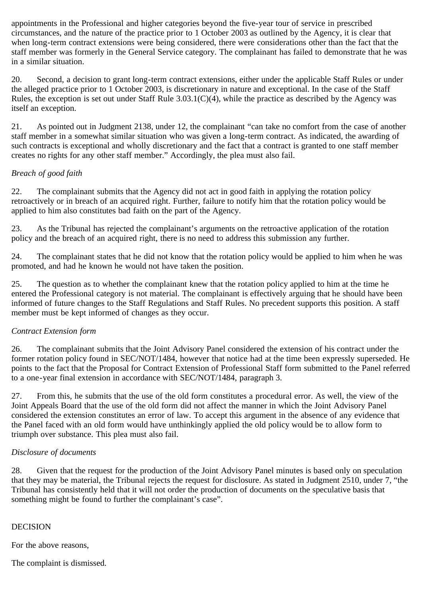appointments in the Professional and higher categories beyond the five-year tour of service in prescribed circumstances, and the nature of the practice prior to 1 October 2003 as outlined by the Agency, it is clear that when long-term contract extensions were being considered, there were considerations other than the fact that the staff member was formerly in the General Service category. The complainant has failed to demonstrate that he was in a similar situation.

20. Second, a decision to grant long-term contract extensions, either under the applicable Staff Rules or under the alleged practice prior to 1 October 2003, is discretionary in nature and exceptional. In the case of the Staff Rules, the exception is set out under Staff Rule 3.03.1(C)(4), while the practice as described by the Agency was itself an exception.

21. As pointed out in Judgment 2138, under 12, the complainant "can take no comfort from the case of another staff member in a somewhat similar situation who was given a long-term contract. As indicated, the awarding of such contracts is exceptional and wholly discretionary and the fact that a contract is granted to one staff member creates no rights for any other staff member." Accordingly, the plea must also fail.

## *Breach of good faith*

22. The complainant submits that the Agency did not act in good faith in applying the rotation policy retroactively or in breach of an acquired right. Further, failure to notify him that the rotation policy would be applied to him also constitutes bad faith on the part of the Agency.

23. As the Tribunal has rejected the complainant's arguments on the retroactive application of the rotation policy and the breach of an acquired right, there is no need to address this submission any further.

24. The complainant states that he did not know that the rotation policy would be applied to him when he was promoted, and had he known he would not have taken the position.

25. The question as to whether the complainant knew that the rotation policy applied to him at the time he entered the Professional category is not material. The complainant is effectively arguing that he should have been informed of future changes to the Staff Regulations and Staff Rules. No precedent supports this position. A staff member must be kept informed of changes as they occur.

### *Contract Extension form*

26. The complainant submits that the Joint Advisory Panel considered the extension of his contract under the former rotation policy found in SEC/NOT/1484, however that notice had at the time been expressly superseded. He points to the fact that the Proposal for Contract Extension of Professional Staff form submitted to the Panel referred to a one-year final extension in accordance with SEC/NOT/1484, paragraph 3.

27. From this, he submits that the use of the old form constitutes a procedural error. As well, the view of the Joint Appeals Board that the use of the old form did not affect the manner in which the Joint Advisory Panel considered the extension constitutes an error of law. To accept this argument in the absence of any evidence that the Panel faced with an old form would have unthinkingly applied the old policy would be to allow form to triumph over substance. This plea must also fail.

### *Disclosure of documents*

28. Given that the request for the production of the Joint Advisory Panel minutes is based only on speculation that they may be material, the Tribunal rejects the request for disclosure. As stated in Judgment 2510, under 7, "the Tribunal has consistently held that it will not order the production of documents on the speculative basis that something might be found to further the complainant's case".

### DECISION

For the above reasons,

The complaint is dismissed.